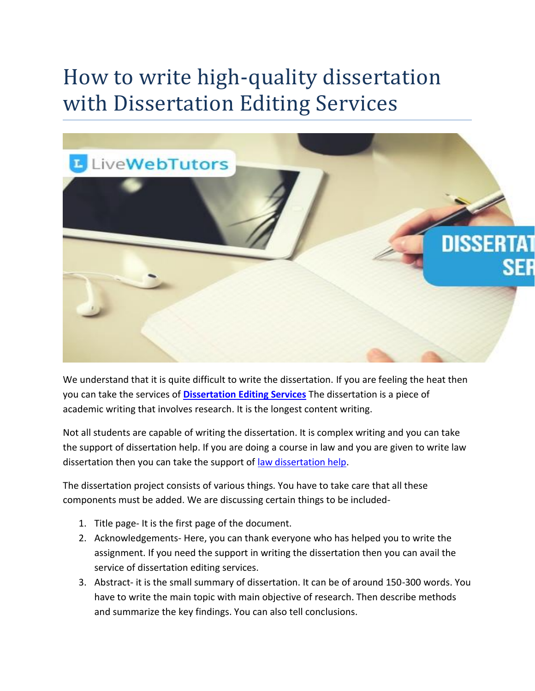## How to write high-quality dissertation with Dissertation Editing Services



We understand that it is quite difficult to write the dissertation. If you are feeling the heat then you can take the services of **[Dissertation Editing Services](https://www.livewebtutors.com/uk/dissertation-editing-services)** The dissertation is a piece of academic writing that involves research. It is the longest content writing.

Not all students are capable of writing the dissertation. It is complex writing and you can take the support of dissertation help. If you are doing a course in law and you are given to write law dissertation then you can take the support of [law dissertation help.](https://www.livewebtutors.com/uk/law-dissertation-help)

The dissertation project consists of various things. You have to take care that all these components must be added. We are discussing certain things to be included-

- 1. Title page- It is the first page of the document.
- 2. Acknowledgements- Here, you can thank everyone who has helped you to write the assignment. If you need the support in writing the dissertation then you can avail the service of dissertation editing services.
- 3. Abstract- it is the small summary of dissertation. It can be of around 150-300 words. You have to write the main topic with main objective of research. Then describe methods and summarize the key findings. You can also tell conclusions.